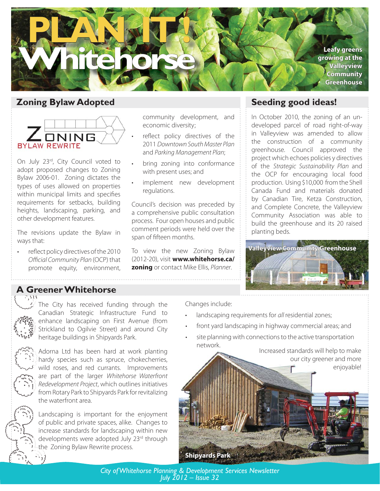

#### **Zoning Bylaw Adopted**



On July 23rd, City Council voted to adopt proposed changes to Zoning Bylaw 2006-01. Zoning dictates the types of uses allowed on properties within municipal limits and specifies requirements for setbacks, building heights, landscaping, parking, and other development features.

The revisions update the Bylaw in ways that:

reflect policy directives of the 2010 Official Community Plan (OCP) that promote equity, environment, •

community development, and economic diversity;

- reflect policy directives of the 2011 Downtown South Master Plan and Parking Management Plan;
- bring zoning into conformance with present uses; and •
- implement new development regulations. •

Council's decision was preceded by a comprehensive public consultation process. Four open houses and public comment periods were held over the span of fifteen months.

To view the new Zoning Bylaw (2012-20), visit **www.whitehorse.ca/ zoning** or contact Mike Ellis, Planner.

#### **Seeding good ideas!**

In October 2010, the zoning of an undeveloped parcel of road right-of-way in Valleyview was amended to allow the construction of a community greenhouse. Council approved the project which echoes policies y directives of the Strategic Sustainability Plan and the OCP for encouraging local food production. Using \$10,000 from the Shell Canada Fund and materials donated by Canadian Tire, Ketza Construction, and Complete Concrete, the Valleyview Community Association was able to build the greenhouse and its 20 raised planting beds.



## **A Greener Whitehorse**



The City has received funding through the Canadian Strategic Infrastructure Fund to enhance landscaping on First Avenue (from Strickland to Ogilvie Street) and around City heritage buildings in Shipyards Park.



Adorna Ltd has been hard at work planting hardy species such as spruce, chokecherries, wild roses, and red currants. Improvements are part of the larger Whitehorse Waterfront Redevelopment Project, which outlines initiatives from Rotary Park to Shipyards Park for revitalizing the waterfront area.

Landscaping is important for the enjoyment of public and private spaces, alike. Changes to increase standards for landscaping within new developments were adopted July 23rd through the Zoning Bylaw Rewrite process.

Changes include:

**Fey** 

- landscaping requirements for all residential zones; •
- front yard landscaping in highway commercial areas; and •
- site planning with connections to the active transportation network. •

Increased standards will help to make our city greener and more enjoyable!



*City of Whitehorse Planning & Development Services Newsletter July 2012 – Issue 32*